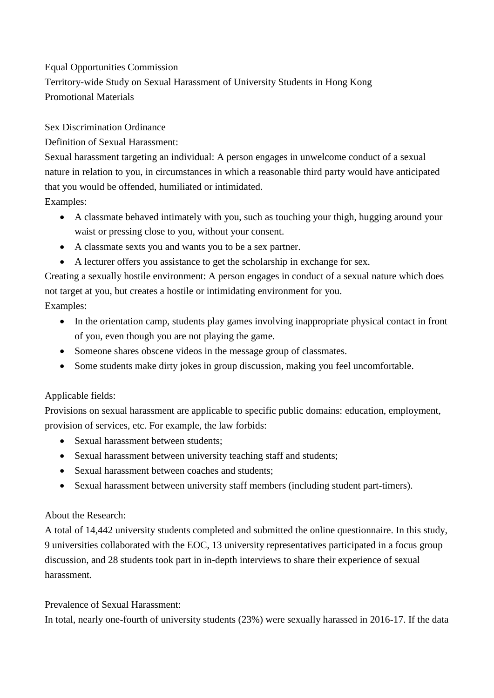Equal Opportunities Commission

Territory-wide Study on Sexual Harassment of University Students in Hong Kong Promotional Materials

Sex Discrimination Ordinance

Definition of Sexual Harassment:

Sexual harassment targeting an individual: A person engages in unwelcome conduct of a sexual nature in relation to you, in circumstances in which a reasonable third party would have anticipated that you would be offended, humiliated or intimidated.

Examples:

- A classmate behaved intimately with you, such as touching your thigh, hugging around your waist or pressing close to you, without your consent.
- A classmate sexts you and wants you to be a sex partner.
- A lecturer offers you assistance to get the scholarship in exchange for sex.

Creating a sexually hostile environment: A person engages in conduct of a sexual nature which does not target at you, but creates a hostile or intimidating environment for you.

Examples:

- In the orientation camp, students play games involving inappropriate physical contact in front of you, even though you are not playing the game.
- Someone shares obscene videos in the message group of classmates.
- Some students make dirty jokes in group discussion, making you feel uncomfortable.

## Applicable fields:

Provisions on sexual harassment are applicable to specific public domains: education, employment, provision of services, etc. For example, the law forbids:

- Sexual harassment between students:
- Sexual harassment between university teaching staff and students;
- Sexual harassment between coaches and students;
- Sexual harassment between university staff members (including student part-timers).

## About the Research:

A total of 14,442 university students completed and submitted the online questionnaire. In this study, 9 universities collaborated with the EOC, 13 university representatives participated in a focus group discussion, and 28 students took part in in-depth interviews to share their experience of sexual harassment.

## Prevalence of Sexual Harassment:

In total, nearly one-fourth of university students (23%) were sexually harassed in 2016-17. If the data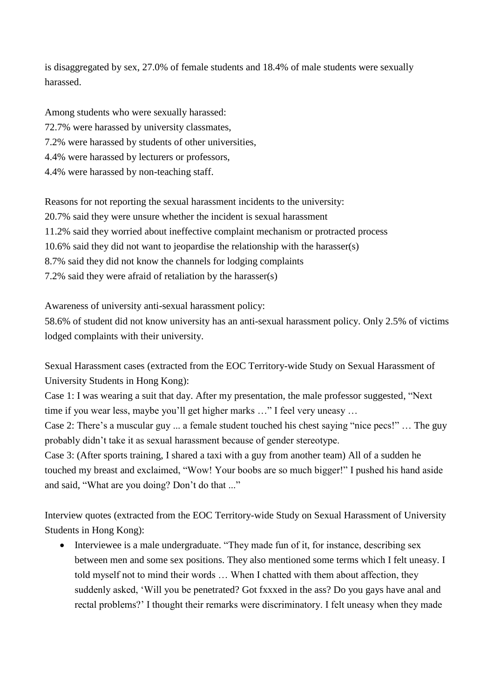is disaggregated by sex, 27.0% of female students and 18.4% of male students were sexually harassed.

Among students who were sexually harassed: 72.7% were harassed by university classmates, 7.2% were harassed by students of other universities, 4.4% were harassed by lecturers or professors, 4.4% were harassed by non-teaching staff.

Reasons for not reporting the sexual harassment incidents to the university:

20.7% said they were unsure whether the incident is sexual harassment

11.2% said they worried about ineffective complaint mechanism or protracted process

10.6% said they did not want to jeopardise the relationship with the harasser(s)

8.7% said they did not know the channels for lodging complaints

7.2% said they were afraid of retaliation by the harasser(s)

Awareness of university anti-sexual harassment policy:

58.6% of student did not know university has an anti-sexual harassment policy. Only 2.5% of victims lodged complaints with their university.

Sexual Harassment cases (extracted from the EOC Territory-wide Study on Sexual Harassment of University Students in Hong Kong):

Case 1: I was wearing a suit that day. After my presentation, the male professor suggested, "Next time if you wear less, maybe you'll get higher marks …" I feel very uneasy …

Case 2: There's a muscular guy ... a female student touched his chest saying "nice pecs!" … The guy probably didn't take it as sexual harassment because of gender stereotype.

Case 3: (After sports training, I shared a taxi with a guy from another team) All of a sudden he touched my breast and exclaimed, "Wow! Your boobs are so much bigger!" I pushed his hand aside and said, "What are you doing? Don't do that ..."

Interview quotes (extracted from the EOC Territory-wide Study on Sexual Harassment of University Students in Hong Kong):

• Interviewee is a male undergraduate. "They made fun of it, for instance, describing sex between men and some sex positions. They also mentioned some terms which I felt uneasy. I told myself not to mind their words … When I chatted with them about affection, they suddenly asked, 'Will you be penetrated? Got fxxxed in the ass? Do you gays have anal and rectal problems?' I thought their remarks were discriminatory. I felt uneasy when they made